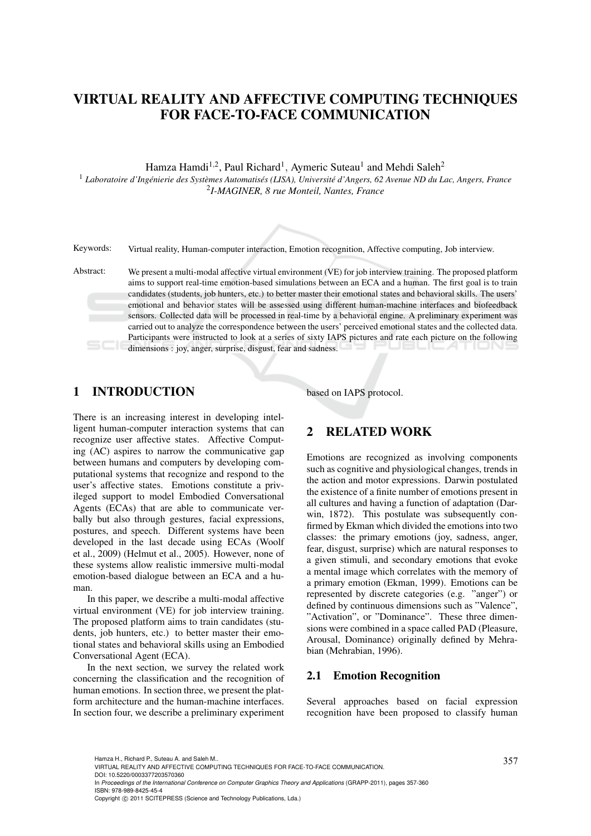# VIRTUAL REALITY AND AFFECTIVE COMPUTING TECHNIQUES FOR FACE-TO-FACE COMMUNICATION

Hamza Hamdi<sup>1,2</sup>, Paul Richard<sup>1</sup>, Aymeric Suteau<sup>1</sup> and Mehdi Saleh<sup>2</sup>

<sup>1</sup> Laboratoire d'Ingénierie des Systèmes Automatisés (LISA), Université d'Angers, 62 Avenue ND du Lac, Angers, France 2 *I-MAGINER, 8 rue Monteil, Nantes, France*

Keywords: Virtual reality, Human-computer interaction, Emotion recognition, Affective computing, Job interview.

Abstract: We present a multi-modal affective virtual environment (VE) for job interview training. The proposed platform aims to support real-time emotion-based simulations between an ECA and a human. The first goal is to train candidates (students, job hunters, etc.) to better master their emotional states and behavioral skills. The users' emotional and behavior states will be assessed using different human-machine interfaces and biofeedback sensors. Collected data will be processed in real-time by a behavioral engine. A preliminary experiment was carried out to analyze the correspondence between the users' perceived emotional states and the collected data. Participants were instructed to look at a series of sixty IAPS pictures and rate each picture on the following dimensions : joy, anger, surprise, disgust, fear and sadness.

## 1 INTRODUCTION

There is an increasing interest in developing intelligent human-computer interaction systems that can recognize user affective states. Affective Computing (AC) aspires to narrow the communicative gap between humans and computers by developing computational systems that recognize and respond to the user's affective states. Emotions constitute a privileged support to model Embodied Conversational Agents (ECAs) that are able to communicate verbally but also through gestures, facial expressions, postures, and speech. Different systems have been developed in the last decade using ECAs (Woolf et al., 2009) (Helmut et al., 2005). However, none of these systems allow realistic immersive multi-modal emotion-based dialogue between an ECA and a human.

In this paper, we describe a multi-modal affective virtual environment (VE) for job interview training. The proposed platform aims to train candidates (students, job hunters, etc.) to better master their emotional states and behavioral skills using an Embodied Conversational Agent (ECA).

In the next section, we survey the related work concerning the classification and the recognition of human emotions. In section three, we present the platform architecture and the human-machine interfaces. In section four, we describe a preliminary experiment based on IAPS protocol.

## 2 RELATED WORK

Emotions are recognized as involving components such as cognitive and physiological changes, trends in the action and motor expressions. Darwin postulated the existence of a finite number of emotions present in all cultures and having a function of adaptation (Darwin, 1872). This postulate was subsequently confirmed by Ekman which divided the emotions into two classes: the primary emotions (joy, sadness, anger, fear, disgust, surprise) which are natural responses to a given stimuli, and secondary emotions that evoke a mental image which correlates with the memory of a primary emotion (Ekman, 1999). Emotions can be represented by discrete categories (e.g. "anger") or defined by continuous dimensions such as "Valence", "Activation", or "Dominance". These three dimensions were combined in a space called PAD (Pleasure, Arousal, Dominance) originally defined by Mehrabian (Mehrabian, 1996).

#### 2.1 Emotion Recognition

Several approaches based on facial expression recognition have been proposed to classify human

DOI: 10.5220/0003377203570360

Hamza H., Richard P., Suteau A. and Saleh M..<br>VIRTUAL REALITY AND AFFECTIVE COMPUTING TECHNIQUES FOR FACE-TO-FACE COMMUNICATION.

In *Proceedings of the International Conference on Computer Graphics Theory and Applications* (GRAPP-2011), pages 357-360 ISBN: 978-989-8425-45-4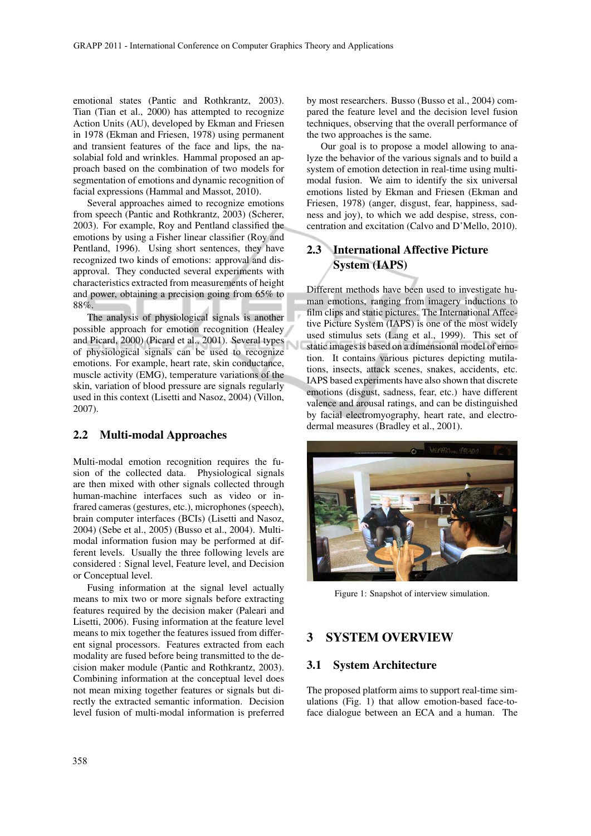emotional states (Pantic and Rothkrantz, 2003). Tian (Tian et al., 2000) has attempted to recognize Action Units (AU), developed by Ekman and Friesen in 1978 (Ekman and Friesen, 1978) using permanent and transient features of the face and lips, the nasolabial fold and wrinkles. Hammal proposed an approach based on the combination of two models for segmentation of emotions and dynamic recognition of facial expressions (Hammal and Massot, 2010).

Several approaches aimed to recognize emotions from speech (Pantic and Rothkrantz, 2003) (Scherer, 2003). For example, Roy and Pentland classified the emotions by using a Fisher linear classifier (Roy and Pentland, 1996). Using short sentences, they have recognized two kinds of emotions: approval and disapproval. They conducted several experiments with characteristics extracted from measurements of height and power, obtaining a precision going from 65% to 88%.

The analysis of physiological signals is another possible approach for emotion recognition (Healey and Picard, 2000) (Picard et al., 2001). Several types of physiological signals can be used to recognize emotions. For example, heart rate, skin conductance, muscle activity (EMG), temperature variations of the skin, variation of blood pressure are signals regularly used in this context (Lisetti and Nasoz, 2004) (Villon, 2007).

### 2.2 Multi-modal Approaches

Multi-modal emotion recognition requires the fusion of the collected data. Physiological signals are then mixed with other signals collected through human-machine interfaces such as video or infrared cameras (gestures, etc.), microphones (speech), brain computer interfaces (BCIs) (Lisetti and Nasoz, 2004) (Sebe et al., 2005) (Busso et al., 2004). Multimodal information fusion may be performed at different levels. Usually the three following levels are considered : Signal level, Feature level, and Decision or Conceptual level.

Fusing information at the signal level actually means to mix two or more signals before extracting features required by the decision maker (Paleari and Lisetti, 2006). Fusing information at the feature level means to mix together the features issued from different signal processors. Features extracted from each modality are fused before being transmitted to the decision maker module (Pantic and Rothkrantz, 2003). Combining information at the conceptual level does not mean mixing together features or signals but directly the extracted semantic information. Decision level fusion of multi-modal information is preferred by most researchers. Busso (Busso et al., 2004) compared the feature level and the decision level fusion techniques, observing that the overall performance of the two approaches is the same.

Our goal is to propose a model allowing to analyze the behavior of the various signals and to build a system of emotion detection in real-time using multimodal fusion. We aim to identify the six universal emotions listed by Ekman and Friesen (Ekman and Friesen, 1978) (anger, disgust, fear, happiness, sadness and joy), to which we add despise, stress, concentration and excitation (Calvo and D'Mello, 2010).

## 2.3 International Affective Picture System (IAPS)

Different methods have been used to investigate human emotions, ranging from imagery inductions to film clips and static pictures. The International Affective Picture System (IAPS) is one of the most widely used stimulus sets (Lang et al., 1999). This set of static images is based on a dimensional model of emotion. It contains various pictures depicting mutilations, insects, attack scenes, snakes, accidents, etc. IAPS based experiments have also shown that discrete emotions (disgust, sadness, fear, etc.) have different valence and arousal ratings, and can be distinguished by facial electromyography, heart rate, and electrodermal measures (Bradley et al., 2001).



Figure 1: Snapshot of interview simulation.

## 3 SYSTEM OVERVIEW

### 3.1 System Architecture

The proposed platform aims to support real-time simulations (Fig. 1) that allow emotion-based face-toface dialogue between an ECA and a human. The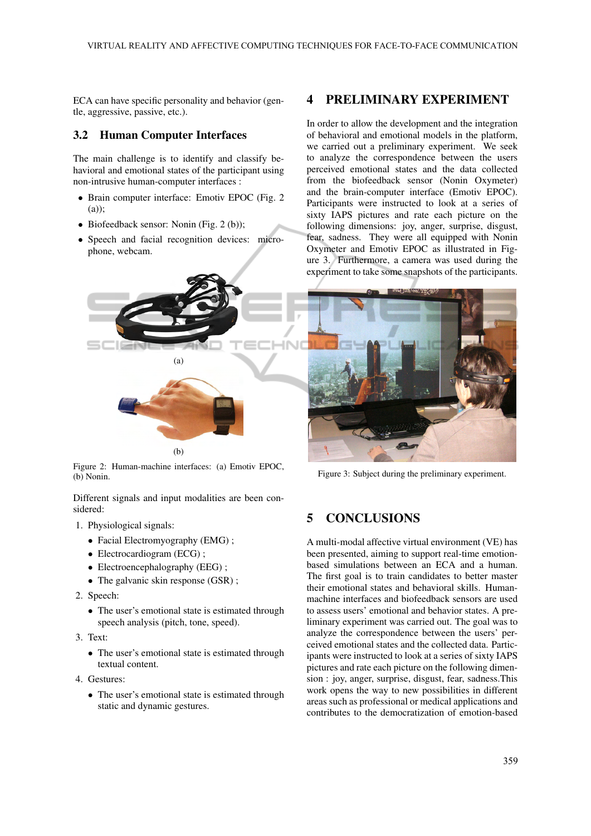ECA can have specific personality and behavior (gentle, aggressive, passive, etc.).

#### 3.2 Human Computer Interfaces

The main challenge is to identify and classify behavioral and emotional states of the participant using non-intrusive human-computer interfaces :

- Brain computer interface: Emotiv EPOC (Fig. 2 (a));
- Biofeedback sensor: Nonin (Fig. 2 (b));
- Speech and facial recognition devices: microphone, webcam.



Figure 2: Human-machine interfaces: (a) Emotiv EPOC, (b) Nonin.

Different signals and input modalities are been considered:

- 1. Physiological signals:
	- Facial Electromyography (EMG) ;
	- Electrocardiogram (ECG);
	- Electroencephalography (EEG);
	- The galvanic skin response (GSR);
- 2. Speech:
	- The user's emotional state is estimated through speech analysis (pitch, tone, speed).
- 3. Text:
	- The user's emotional state is estimated through textual content.
- 4. Gestures:
	- The user's emotional state is estimated through static and dynamic gestures.

## 4 PRELIMINARY EXPERIMENT

In order to allow the development and the integration of behavioral and emotional models in the platform, we carried out a preliminary experiment. We seek to analyze the correspondence between the users perceived emotional states and the data collected from the biofeedback sensor (Nonin Oxymeter) and the brain-computer interface (Emotiv EPOC). Participants were instructed to look at a series of sixty IAPS pictures and rate each picture on the following dimensions: joy, anger, surprise, disgust, fear, sadness. They were all equipped with Nonin Oxymeter and Emotiv EPOC as illustrated in Figure 3. Furthermore, a camera was used during the experiment to take some snapshots of the participants.



Figure 3: Subject during the preliminary experiment.

## 5 CONCLUSIONS

A multi-modal affective virtual environment (VE) has been presented, aiming to support real-time emotionbased simulations between an ECA and a human. The first goal is to train candidates to better master their emotional states and behavioral skills. Humanmachine interfaces and biofeedback sensors are used to assess users' emotional and behavior states. A preliminary experiment was carried out. The goal was to analyze the correspondence between the users' perceived emotional states and the collected data. Participants were instructed to look at a series of sixty IAPS pictures and rate each picture on the following dimension : joy, anger, surprise, disgust, fear, sadness.This work opens the way to new possibilities in different areas such as professional or medical applications and contributes to the democratization of emotion-based